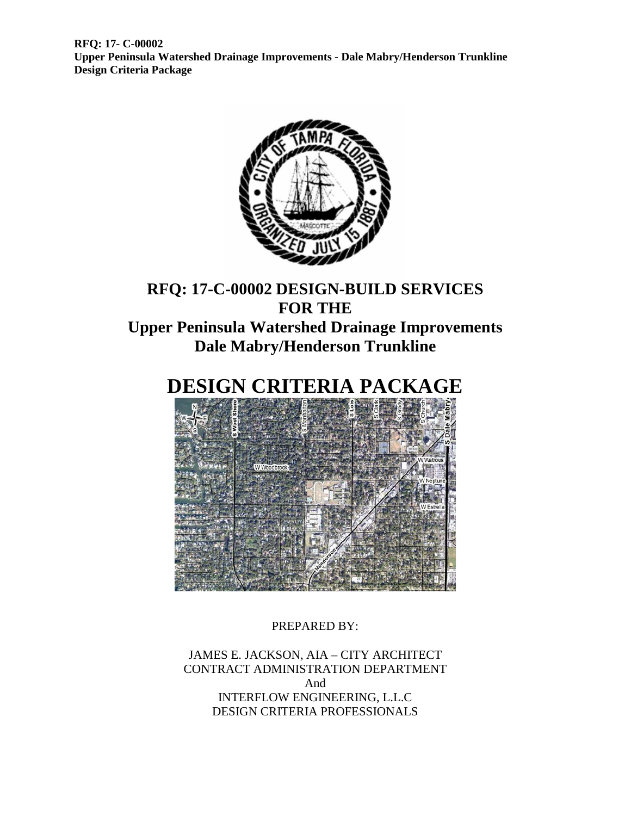

### **RFQ: 17-C-00002 DESIGN-BUILD SERVICES FOR THE Upper Peninsula Watershed Drainage Improvements Dale Mabry/Henderson Trunkline**

## **DESIGN CRITERIA PACKAGE**



PREPARED BY:

JAMES E. JACKSON, AIA – CITY ARCHITECT CONTRACT ADMINISTRATION DEPARTMENT And INTERFLOW ENGINEERING, L.L.C DESIGN CRITERIA PROFESSIONALS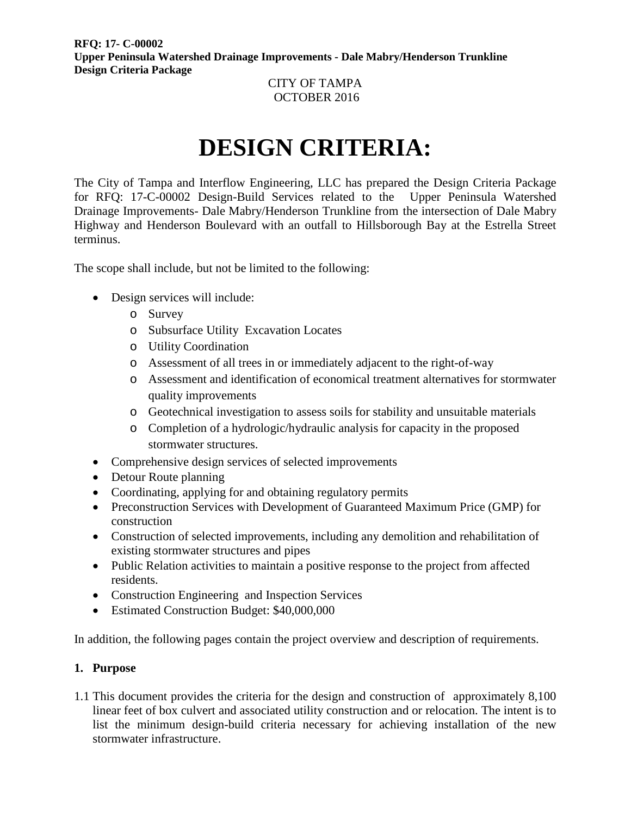#### CITY OF TAMPA OCTOBER 2016

# **DESIGN CRITERIA:**

The City of Tampa and Interflow Engineering, LLC has prepared the Design Criteria Package for RFQ: 17-C-00002 Design-Build Services related to the Upper Peninsula Watershed Drainage Improvements- Dale Mabry/Henderson Trunkline from the intersection of Dale Mabry Highway and Henderson Boulevard with an outfall to Hillsborough Bay at the Estrella Street terminus.

The scope shall include, but not be limited to the following:

- Design services will include:
	- o Survey
	- o Subsurface Utility Excavation Locates
	- o Utility Coordination
	- o Assessment of all trees in or immediately adjacent to the right-of-way
	- o Assessment and identification of economical treatment alternatives for stormwater quality improvements
	- o Geotechnical investigation to assess soils for stability and unsuitable materials
	- o Completion of a hydrologic/hydraulic analysis for capacity in the proposed stormwater structures.
- Comprehensive design services of selected improvements
- Detour Route planning
- Coordinating, applying for and obtaining regulatory permits
- Preconstruction Services with Development of Guaranteed Maximum Price (GMP) for construction
- Construction of selected improvements, including any demolition and rehabilitation of existing stormwater structures and pipes
- Public Relation activities to maintain a positive response to the project from affected residents.
- Construction Engineering and Inspection Services
- Estimated Construction Budget: \$40,000,000

In addition, the following pages contain the project overview and description of requirements.

#### **1. Purpose**

1.1 This document provides the criteria for the design and construction of approximately 8,100 linear feet of box culvert and associated utility construction and or relocation. The intent is to list the minimum design-build criteria necessary for achieving installation of the new stormwater infrastructure.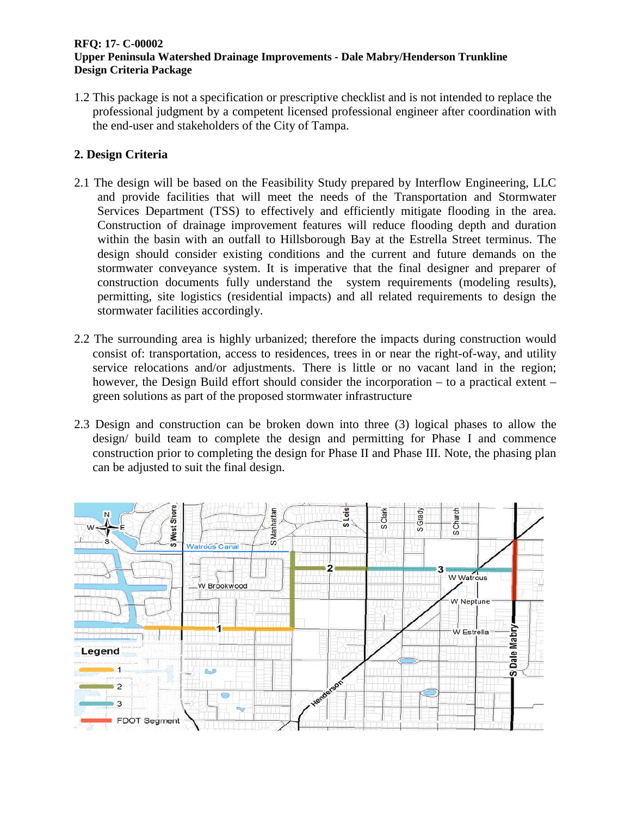1.2 This package is not a specification or prescriptive checklist and is not intended to replace the professional judgment by a competent licensed professional engineer after coordination with the end-user and stakeholders of the City of Tampa.

#### **2. Design Criteria**

- 2.1 The design will be based on the Feasibility Study prepared by Interflow Engineering, LLC and provide facilities that will meet the needs of the Transportation and Stormwater Services Department (TSS) to effectively and efficiently mitigate flooding in the area. Construction of drainage improvement features will reduce flooding depth and duration within the basin with an outfall to Hillsborough Bay at the Estrella Street terminus. The design should consider existing conditions and the current and future demands on the stormwater conveyance system. It is imperative that the final designer and preparer of construction documents fully understand the system requirements (modeling results), permitting, site logistics (residential impacts) and all related requirements to design the stormwater facilities accordingly.
- 2.2 The surrounding area is highly urbanized; therefore the impacts during construction would consist of: transportation, access to residences, trees in or near the right-of-way, and utility service relocations and/or adjustments. There is little or no vacant land in the region; however, the Design Build effort should consider the incorporation – to a practical extent – green solutions as part of the proposed stormwater infrastructure
- 2.3 Design and construction can be broken down into three (3) logical phases to allow the design/ build team to complete the design and permitting for Phase I and commence construction prior to completing the design for Phase II and Phase III. Note, the phasing plan can be adjusted to suit the final design.

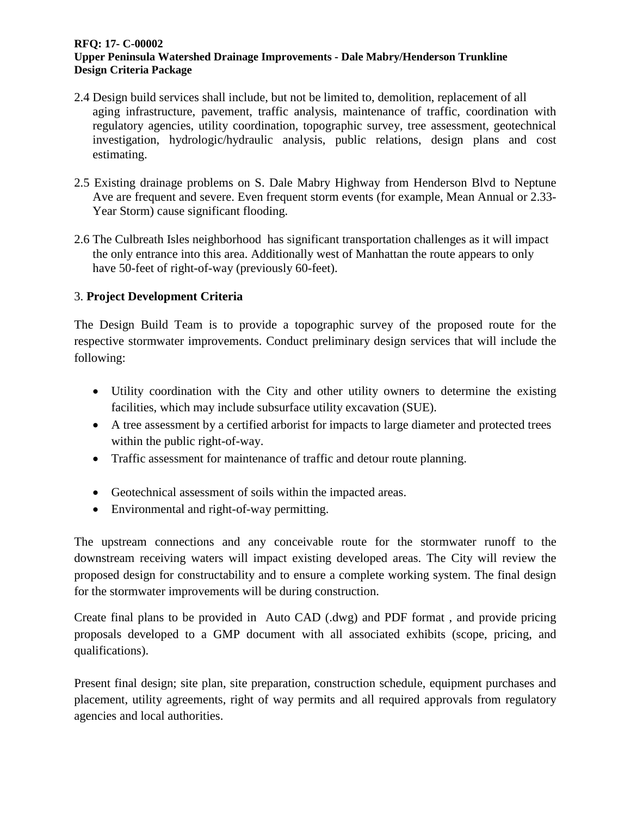- 2.4 Design build services shall include, but not be limited to, demolition, replacement of all aging infrastructure, pavement, traffic analysis, maintenance of traffic, coordination with regulatory agencies, utility coordination, topographic survey, tree assessment, geotechnical investigation, hydrologic/hydraulic analysis, public relations, design plans and cost estimating.
- 2.5 Existing drainage problems on S. Dale Mabry Highway from Henderson Blvd to Neptune Ave are frequent and severe. Even frequent storm events (for example, Mean Annual or 2.33- Year Storm) cause significant flooding.
- 2.6 The Culbreath Isles neighborhood has significant transportation challenges as it will impact the only entrance into this area. Additionally west of Manhattan the route appears to only have 50-feet of right-of-way (previously 60-feet).

#### 3. **Project Development Criteria**

The Design Build Team is to provide a topographic survey of the proposed route for the respective stormwater improvements. Conduct preliminary design services that will include the following:

- Utility coordination with the City and other utility owners to determine the existing facilities, which may include subsurface utility excavation (SUE).
- A tree assessment by a certified arborist for impacts to large diameter and protected trees within the public right-of-way.
- Traffic assessment for maintenance of traffic and detour route planning.
- Geotechnical assessment of soils within the impacted areas.
- Environmental and right-of-way permitting.

The upstream connections and any conceivable route for the stormwater runoff to the downstream receiving waters will impact existing developed areas. The City will review the proposed design for constructability and to ensure a complete working system. The final design for the stormwater improvements will be during construction.

Create final plans to be provided in Auto CAD (.dwg) and PDF format , and provide pricing proposals developed to a GMP document with all associated exhibits (scope, pricing, and qualifications).

Present final design; site plan, site preparation, construction schedule, equipment purchases and placement, utility agreements, right of way permits and all required approvals from regulatory agencies and local authorities.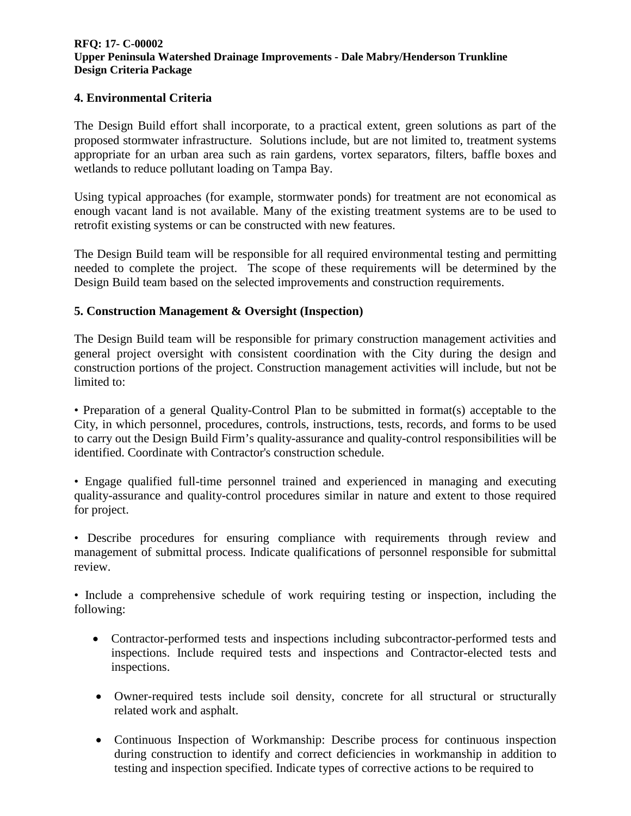#### **4. Environmental Criteria**

The Design Build effort shall incorporate, to a practical extent, green solutions as part of the proposed stormwater infrastructure. Solutions include, but are not limited to, treatment systems appropriate for an urban area such as rain gardens, vortex separators, filters, baffle boxes and wetlands to reduce pollutant loading on Tampa Bay.

Using typical approaches (for example, stormwater ponds) for treatment are not economical as enough vacant land is not available. Many of the existing treatment systems are to be used to retrofit existing systems or can be constructed with new features.

The Design Build team will be responsible for all required environmental testing and permitting needed to complete the project. The scope of these requirements will be determined by the Design Build team based on the selected improvements and construction requirements.

#### **5. Construction Management & Oversight (Inspection)**

The Design Build team will be responsible for primary construction management activities and general project oversight with consistent coordination with the City during the design and construction portions of the project. Construction management activities will include, but not be limited to:

• Preparation of a general Quality-Control Plan to be submitted in format(s) acceptable to the City, in which personnel, procedures, controls, instructions, tests, records, and forms to be used to carry out the Design Build Firm's quality-assurance and quality-control responsibilities will be identified. Coordinate with Contractor's construction schedule.

• Engage qualified full-time personnel trained and experienced in managing and executing quality-assurance and quality-control procedures similar in nature and extent to those required for project.

• Describe procedures for ensuring compliance with requirements through review and management of submittal process. Indicate qualifications of personnel responsible for submittal review.

• Include a comprehensive schedule of work requiring testing or inspection, including the following:

- Contractor-performed tests and inspections including subcontractor-performed tests and inspections. Include required tests and inspections and Contractor-elected tests and inspections.
- Owner-required tests include soil density, concrete for all structural or structurally related work and asphalt.
- Continuous Inspection of Workmanship: Describe process for continuous inspection during construction to identify and correct deficiencies in workmanship in addition to testing and inspection specified. Indicate types of corrective actions to be required to